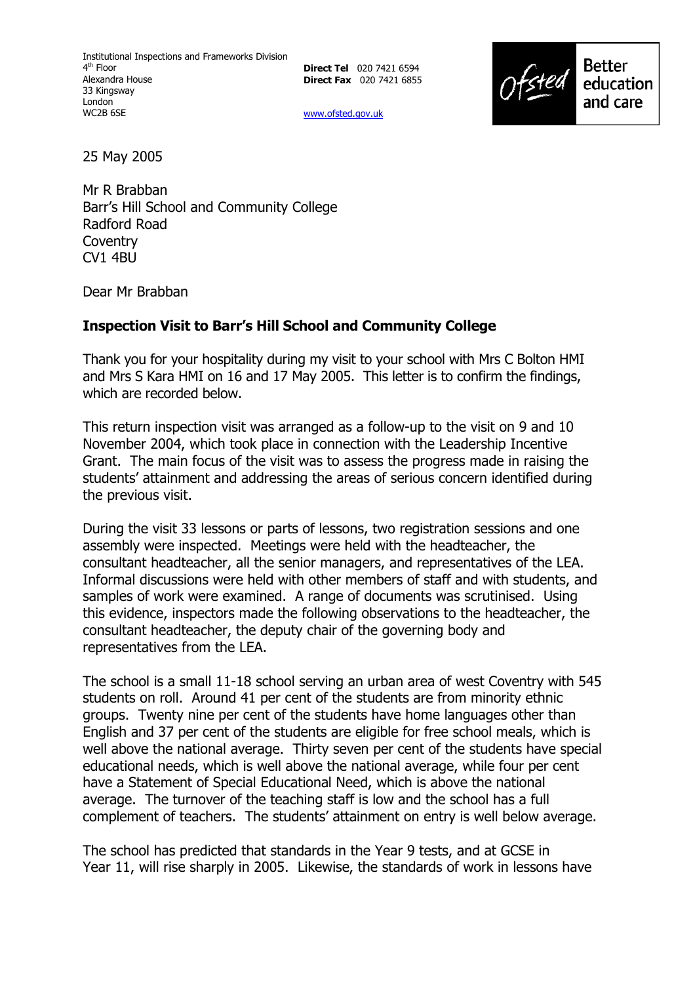**Direct Tel** 020 7421 6594 **Direct Fax** 020 7421 6855

www.ofsted.gov.uk



25 May 2005

Mr R Brabban Barrís Hill School and Community College Radford Road **Coventry** CV1 4BU

Dear Mr Brabban

## **Inspection Visit to Barrís Hill School and Community College**

Thank you for your hospitality during my visit to your school with Mrs C Bolton HMI and Mrs S Kara HMI on 16 and 17 May 2005. This letter is to confirm the findings, which are recorded below.

This return inspection visit was arranged as a follow-up to the visit on 9 and 10 November 2004, which took place in connection with the Leadership Incentive Grant. The main focus of the visit was to assess the progress made in raising the students' attainment and addressing the areas of serious concern identified during the previous visit.

During the visit 33 lessons or parts of lessons, two registration sessions and one assembly were inspected. Meetings were held with the headteacher, the consultant headteacher, all the senior managers, and representatives of the LEA. Informal discussions were held with other members of staff and with students, and samples of work were examined. A range of documents was scrutinised. Using this evidence, inspectors made the following observations to the headteacher, the consultant headteacher, the deputy chair of the governing body and representatives from the LEA.

The school is a small 11-18 school serving an urban area of west Coventry with 545 students on roll. Around 41 per cent of the students are from minority ethnic groups. Twenty nine per cent of the students have home languages other than English and 37 per cent of the students are eligible for free school meals, which is well above the national average. Thirty seven per cent of the students have special educational needs, which is well above the national average, while four per cent have a Statement of Special Educational Need, which is above the national average. The turnover of the teaching staff is low and the school has a full complement of teachers. The studentsí attainment on entry is well below average.

The school has predicted that standards in the Year 9 tests, and at GCSE in Year 11, will rise sharply in 2005. Likewise, the standards of work in lessons have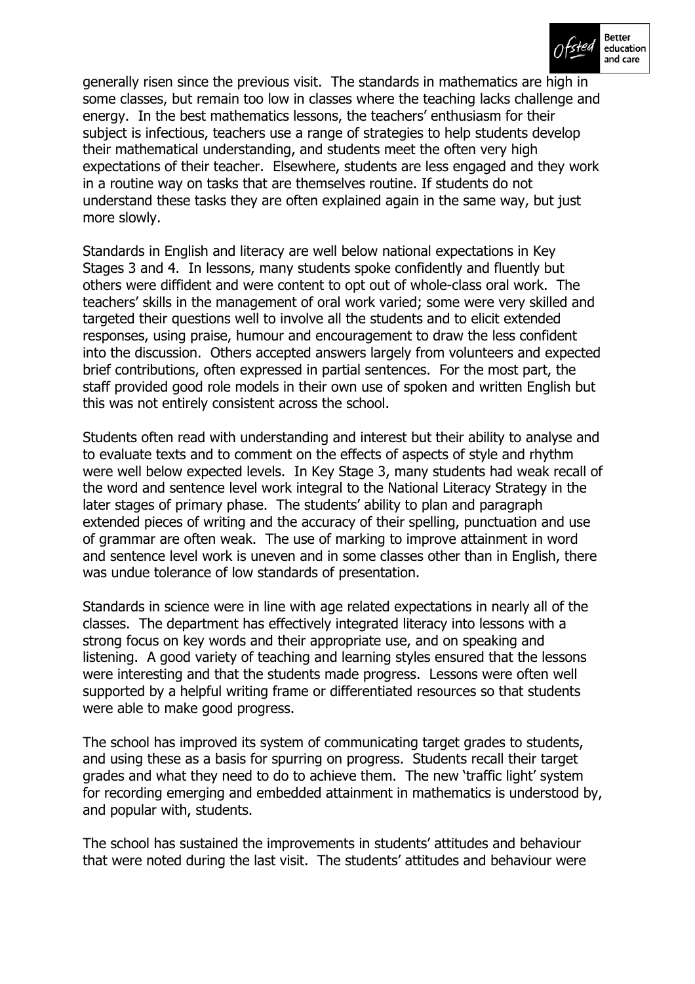

generally risen since the previous visit. The standards in mathematics are high in some classes, but remain too low in classes where the teaching lacks challenge and energy. In the best mathematics lessons, the teachers' enthusiasm for their subject is infectious, teachers use a range of strategies to help students develop their mathematical understanding, and students meet the often very high expectations of their teacher. Elsewhere, students are less engaged and they work in a routine way on tasks that are themselves routine. If students do not understand these tasks they are often explained again in the same way, but just more slowly.

Standards in English and literacy are well below national expectations in Key Stages 3 and 4. In lessons, many students spoke confidently and fluently but others were diffident and were content to opt out of whole-class oral work. The teachersí skills in the management of oral work varied; some were very skilled and targeted their questions well to involve all the students and to elicit extended responses, using praise, humour and encouragement to draw the less confident into the discussion. Others accepted answers largely from volunteers and expected brief contributions, often expressed in partial sentences. For the most part, the staff provided good role models in their own use of spoken and written English but this was not entirely consistent across the school.

Students often read with understanding and interest but their ability to analyse and to evaluate texts and to comment on the effects of aspects of style and rhythm were well below expected levels. In Key Stage 3, many students had weak recall of the word and sentence level work integral to the National Literacy Strategy in the later stages of primary phase. The students' ability to plan and paragraph extended pieces of writing and the accuracy of their spelling, punctuation and use of grammar are often weak. The use of marking to improve attainment in word and sentence level work is uneven and in some classes other than in English, there was undue tolerance of low standards of presentation.

Standards in science were in line with age related expectations in nearly all of the classes. The department has effectively integrated literacy into lessons with a strong focus on key words and their appropriate use, and on speaking and listening. A good variety of teaching and learning styles ensured that the lessons were interesting and that the students made progress. Lessons were often well supported by a helpful writing frame or differentiated resources so that students were able to make good progress.

The school has improved its system of communicating target grades to students, and using these as a basis for spurring on progress. Students recall their target grades and what they need to do to achieve them. The new 'traffic light' system for recording emerging and embedded attainment in mathematics is understood by, and popular with, students.

The school has sustained the improvements in students' attitudes and behaviour that were noted during the last visit. The students' attitudes and behaviour were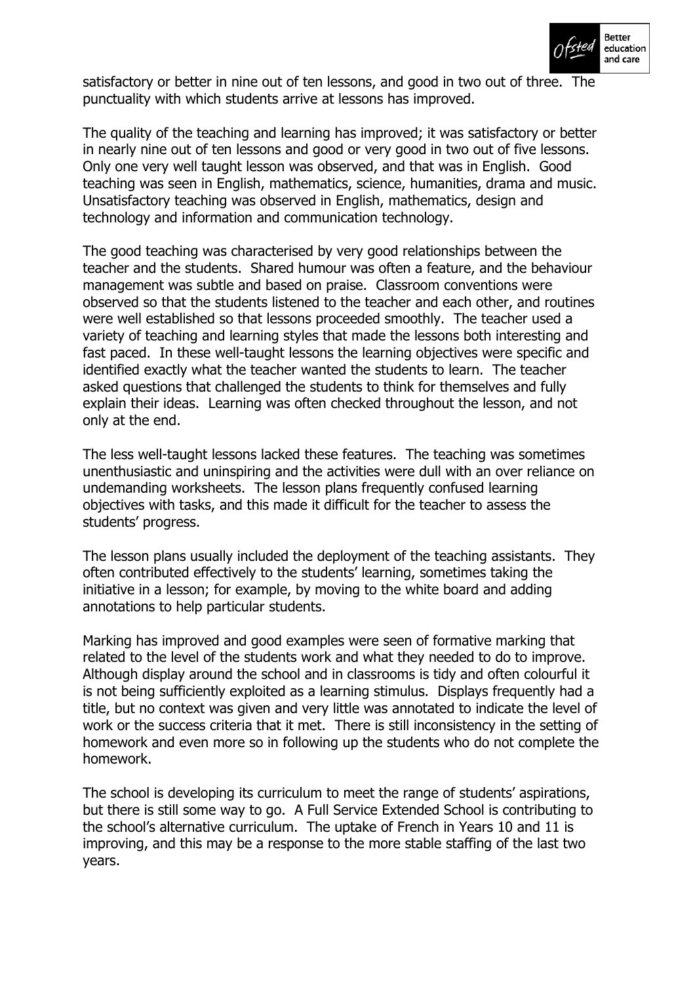

satisfactory or better in nine out of ten lessons, and good in two out of three. The punctuality with which students arrive at lessons has improved.

The quality of the teaching and learning has improved; it was satisfactory or better in nearly nine out of ten lessons and good or very good in two out of five lessons. Only one very well taught lesson was observed, and that was in English. Good teaching was seen in English, mathematics, science, humanities, drama and music. Unsatisfactory teaching was observed in English, mathematics, design and technology and information and communication technology.

The good teaching was characterised by very good relationships between the teacher and the students. Shared humour was often a feature, and the behaviour management was subtle and based on praise. Classroom conventions were observed so that the students listened to the teacher and each other, and routines were well established so that lessons proceeded smoothly. The teacher used a variety of teaching and learning styles that made the lessons both interesting and fast paced. In these well-taught lessons the learning objectives were specific and identified exactly what the teacher wanted the students to learn. The teacher asked questions that challenged the students to think for themselves and fully explain their ideas. Learning was often checked throughout the lesson, and not only at the end.

The less well-taught lessons lacked these features. The teaching was sometimes unenthusiastic and uninspiring and the activities were dull with an over reliance on undemanding worksheets. The lesson plans frequently confused learning objectives with tasks, and this made it difficult for the teacher to assess the students' progress.

The lesson plans usually included the deployment of the teaching assistants. They often contributed effectively to the students' learning, sometimes taking the initiative in a lesson; for example, by moving to the white board and adding annotations to help particular students.

Marking has improved and good examples were seen of formative marking that related to the level of the students work and what they needed to do to improve. Although display around the school and in classrooms is tidy and often colourful it is not being sufficiently exploited as a learning stimulus. Displays frequently had a title, but no context was given and very little was annotated to indicate the level of work or the success criteria that it met. There is still inconsistency in the setting of homework and even more so in following up the students who do not complete the homework.

The school is developing its curriculum to meet the range of students' aspirations, but there is still some way to go. A Full Service Extended School is contributing to the school's alternative curriculum. The uptake of French in Years 10 and 11 is improving, and this may be a response to the more stable staffing of the last two years.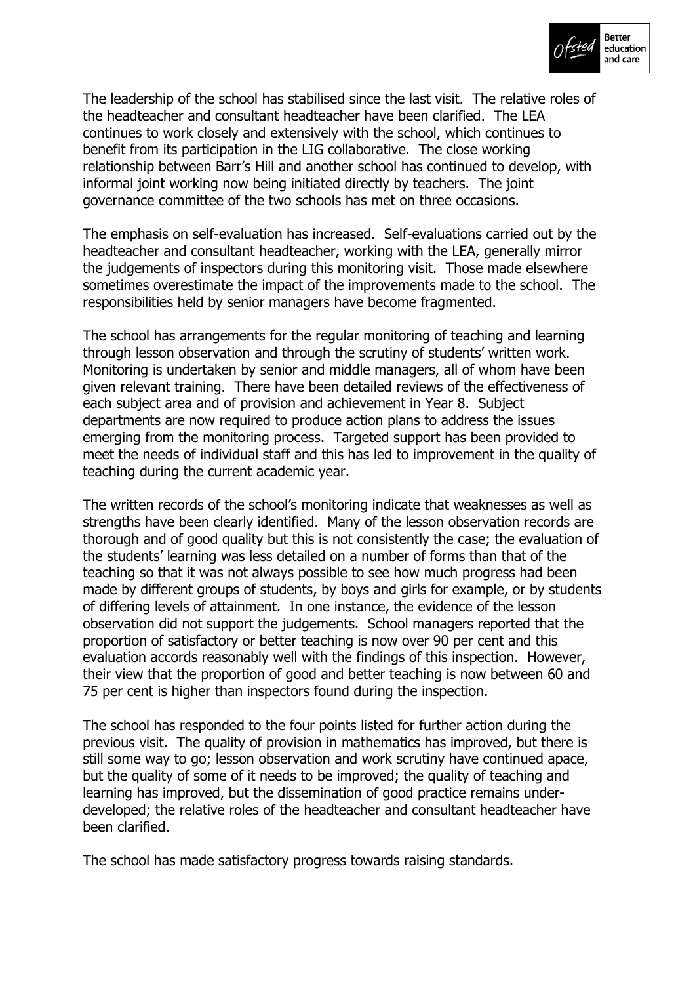

The leadership of the school has stabilised since the last visit. The relative roles of the headteacher and consultant headteacher have been clarified. The LEA continues to work closely and extensively with the school, which continues to benefit from its participation in the LIG collaborative. The close working relationship between Barr's Hill and another school has continued to develop, with informal joint working now being initiated directly by teachers. The joint governance committee of the two schools has met on three occasions.

The emphasis on self-evaluation has increased. Self-evaluations carried out by the headteacher and consultant headteacher, working with the LEA, generally mirror the judgements of inspectors during this monitoring visit. Those made elsewhere sometimes overestimate the impact of the improvements made to the school. The responsibilities held by senior managers have become fragmented.

The school has arrangements for the regular monitoring of teaching and learning through lesson observation and through the scrutiny of students' written work. Monitoring is undertaken by senior and middle managers, all of whom have been given relevant training. There have been detailed reviews of the effectiveness of each subject area and of provision and achievement in Year 8. Subject departments are now required to produce action plans to address the issues emerging from the monitoring process. Targeted support has been provided to meet the needs of individual staff and this has led to improvement in the quality of teaching during the current academic year.

The written records of the school's monitoring indicate that weaknesses as well as strengths have been clearly identified. Many of the lesson observation records are thorough and of good quality but this is not consistently the case; the evaluation of the students' learning was less detailed on a number of forms than that of the teaching so that it was not always possible to see how much progress had been made by different groups of students, by boys and girls for example, or by students of differing levels of attainment. In one instance, the evidence of the lesson observation did not support the judgements. School managers reported that the proportion of satisfactory or better teaching is now over 90 per cent and this evaluation accords reasonably well with the findings of this inspection. However, their view that the proportion of good and better teaching is now between 60 and 75 per cent is higher than inspectors found during the inspection.

The school has responded to the four points listed for further action during the previous visit. The quality of provision in mathematics has improved, but there is still some way to go; lesson observation and work scrutiny have continued apace, but the quality of some of it needs to be improved; the quality of teaching and learning has improved, but the dissemination of good practice remains underdeveloped; the relative roles of the headteacher and consultant headteacher have been clarified.

The school has made satisfactory progress towards raising standards.